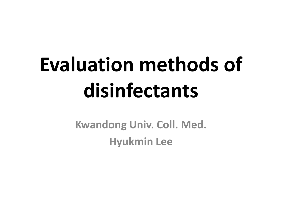# **Evaluation methods of disinfectants**

**Kwandong Univ. Coll. Med. Hyukmin Lee**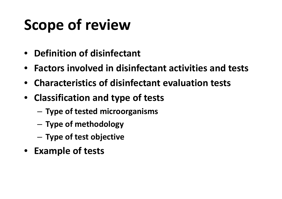### **Scope of review**

- **Definition of disinfectant**
- **Factors involved in disinfectant activities and tests**
- **Characteristics of disinfectant evaluation tests**
- **Classification and type of tests**
	- –**Type of tested microorganisms**
	- –**Type of methodology**
	- **Type of test objective**
- **Example of tests**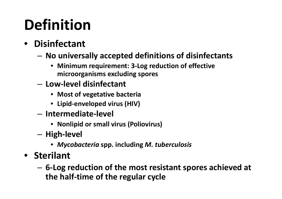### **Definition**

- **Disinfectant**
	- **No universally accepted definitions of disinfectants**
		- **Minimum requirement: 3‐Log reduction of effective microorganisms excluding spores**
	- **Low‐level disinfectant**
		- **Most of vegetative bacteria**
		- **Lipid‐enveloped virus (HIV)**
	- **Intermediate‐level**
		- **Nonlipid or small virus (Poliovirus)**
	- **High‐level**
		- *Mycobacteria* **spp. including** *M. tuberculosis*
- **Sterilant**
	- – **6‐Log reduction of the most resistant spores achieved at the half‐time of the regular cycle**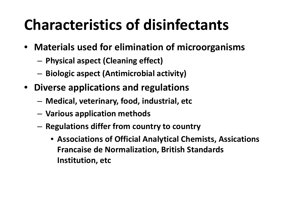### **Characteristics of disinfectants**

- **Materials used for elimination of microorganisms**
	- **Physical aspect (Cleaning effect)**
	- **Biologic aspect (Antimicrobial activity)**
- **Diverse applications and regulations**
	- **Medical, veterinary, food, industrial, etc**
	- –**Various application methods**
	- – **Regulations differ from country to country**
		- **Associations of Official Analytical Chemists, Assications Francaise de Normalization, British Standards Institution, etc**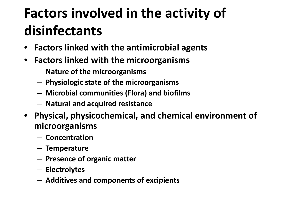#### **Factors involved in the activity of disinfectants**

- **Factors linked with the antimicrobial agents**
- **Factors linked with the microorganisms**
	- –**Nature of the microorganisms**
	- –**Physiologic state of the microorganisms**
	- –**Microbial communities (Flora) and biofilms**
	- **Natural and acquired resistance**
- **Physical, physicochemical, and chemical environment of microorganisms**
	- **Concentration**
	- **Temperature**
	- –**Presence of organic matter**
	- **Electrolytes**
	- **Additives and components of excipients**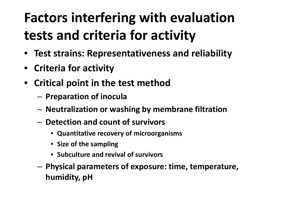#### **Factors interfering with evaluation tests and criteria for activity**

- **Test strains: Representativeness and reliability**
- **Criteria for activity**
- **Critical point in the test method**
	- –**Preparation of inocula**
	- **Neutralization or washing by membrane filtration**
	- **Detection and count of survivors**
		- **Quantitative recovery of microorganisms**
		- **Size of the sampling**
		- **Subculture and revival of survivors**
	- – **Physical parameters of exposure: time, temperature, humidity, pH**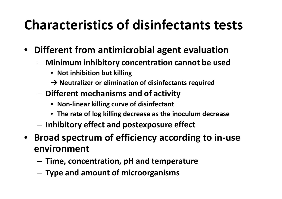#### **Characteristics of disinfectants tests**

- **Different from antimicrobial agent evaluation**
	- **Minimum inhibitory concentration cannot be used**
		- **Not inhibition but killing**
		- **Neutralizer or elimination of disinfectants required**
	- – **Different mechanisms and of activity**
		- **Non ‐linear killing curve of disinfectant**
		- **The rate of log killing decrease as the inoculum decrease**
	- –**Inhibitory effect and postexposure effect**
- $\bullet$  **Broad spectrum of efficiency according to in ‐use environment**
	- –**Time, concentration, pH and temperature**
	- **Type and amount of microorganisms**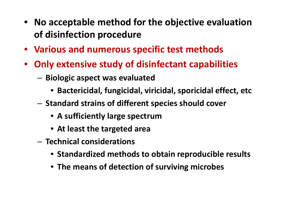- **No acceptable method for the objective evaluation of disinfection procedure**
- **Various and numerous specific test methods**
- $\bullet$  **Only extensive study of disinfectant capabilities**
	- – **Biologic aspect was evaluated**
		- **Bactericidal, fungicidal, viricidal, sporicidal effect, etc**
	- **Standard strains of different species should cover**
		- **A sufficiently large spectrum**
		- **At least the targeted area**
	- **Technical considerations**
		- **Standardized methods to obtain reproducible results**
		- **The means of detection of surviving microbes**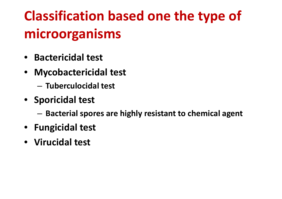#### **Classification based one the type of microorganisms**

- **Bactericidal test**
- **Mycobactericidal test**
	- **Tuberculocidal test**
- **Sporicidal test**
	- –**Bacterial spores are highly resistant to chemical agent**
- **Fungicidal test**
- **Virucidal test**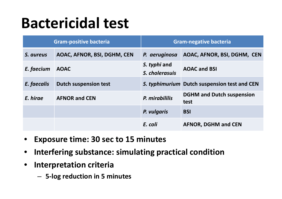#### **Bactericidal test**

| <b>Gram-positive bacteria</b> |                              | <b>Gram-negative bacteria</b>  |                                              |
|-------------------------------|------------------------------|--------------------------------|----------------------------------------------|
| S. aureus                     | AOAC, AFNOR, BSI, DGHM, CEN  | P. aeruginosa                  | AOAC, AFNOR, BSI, DGHM, CEN                  |
| E. faecium                    | <b>AOAC</b>                  | S. typhi and<br>S. cholerasuis | <b>AOAC and BSI</b>                          |
| E. faecalis                   | <b>Dutch suspension test</b> |                                | S. typhimurium Dutch suspension test and CEN |
| E. hirae                      | <b>AFNOR and CEN</b>         | P. mirabililis                 | <b>DGHM and Dutch suspension</b><br>test     |
|                               |                              | P. vulgaris                    | <b>BSI</b>                                   |
|                               |                              | E. coli                        | <b>AFNOR, DGHM and CEN</b>                   |

- •**Exposure time: 30 sec to 15 minutes**
- •**Interfering substance: simulating practical condition**
- $\bullet$  **Interpretation criteria**
	- **5‐log reduction in 5 minutes**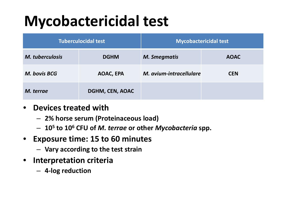### **Mycobactericidal test**

| <b>Tuberculocidal test</b> |                        | <b>Mycobactericidal test</b> |             |
|----------------------------|------------------------|------------------------------|-------------|
| <b>M.</b> tuberculosis     | <b>DGHM</b>            | <b>M. Smegmatis</b>          | <b>AOAC</b> |
| M. bovis BCG               | AOAC, EPA              | M. avium-intracellulare      | <b>CEN</b>  |
| M. terrae                  | <b>DGHM, CEN, AOAC</b> |                              |             |

#### • **Devices treated with**

- **2% horse serum (Proteinaceous load)**
- **10 5 to 10 6 CFU of** *M. terrae* **or other** *Mycobacteria* **spp.**
- $\bullet$  **Exposure time: 15 to 60 minutes**
	- **Vary according to the test strain**
- $\bullet$  **Interpretation criteria**
	- **4 ‐log reduction**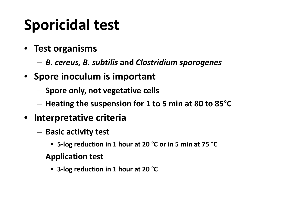### **Sporicidal test**

- **Test organisms**
	- –*B. cereus, B. subtilis* **and** *Clostridium sporogenes*
- **Spore inoculum is important**
	- –**Spore only, not vegetative cells**
	- **Heating the suspension for 1 to 5 min at 80 to 85°C**
- $\bullet$  **Interpretative criteria**
	- – **Basic activity test**
		- **5 ‐log reduction in 1 hour at 20 °C or in 5 min at 75 °C**
	- **Application test**
		- **3 ‐log reduction in 1 hour at 20 °C**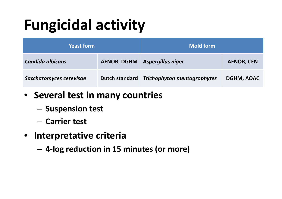### **Fungicidal activity**

| <b>Yeast form</b>       |                    | <b>Mold form</b>                   |                   |
|-------------------------|--------------------|------------------------------------|-------------------|
| <b>Candida albicans</b> | <b>AFNOR, DGHM</b> | <b>Aspergillus niger</b>           | <b>AFNOR, CEN</b> |
| Saccharomyces cerevisae | Dutch standard     | <b>Trichophyton mentagrophytes</b> | <b>DGHM, AOAC</b> |

- **Several test in many countries**
	- $-$  Suspension test
	- **Carrier test**
- **Interpretative criteria**
	- –**4‐log reduction in 15 minutes (or more)**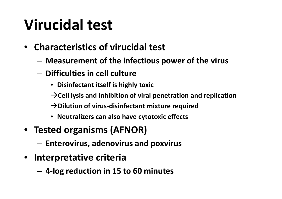### **Virucidal test**

- **Characteristics of virucidal test**
	- **Measurement of the infectious power of the virus**
	- **Difficulties in cell culture**
		- **Disinfectant itself is highly toxic**
		- **Cell lysis and inhibition of viral penetration and replication**
		- **Dilution of virus ‐disinfectant mixture required**
		- **Neutralizers can also have cytotoxic effects**
- **Tested organisms (AFNOR)**
	- **Enterovirus, adenovirus and poxvirus**
- **Interpretative criteria**
	- **4 ‐log reduction in 15 to 60 minutes**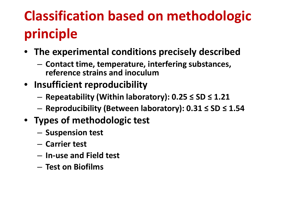### **Classification based on methodologic principle**

- **The experimental conditions precisely described**
	- **Contact time, temperature, interfering substances, reference strains and inoculum**
- **Insufficient reproducibility**
	- –**Repeatability (Within laboratory): 0.25 ≤ SD ≤ 1.21**
	- **Reproducibility (Between laboratory): 0.31 ≤ SD ≤ 1.54**
- **Types of methodologic test**
	- $-$  Suspension test
	- **Carrier test**
	- **In‐use and Field test**
	- **Test on Biofilms**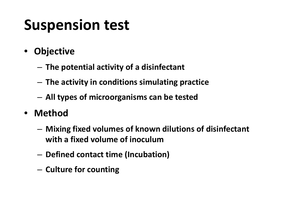#### **Suspension test**

- $\bullet$  **Objective**
	- **The potential activity of <sup>a</sup> disinfectant**
	- –**The activity in conditions simulating practice**
	- –**All types of microorganisms can be tested**
- **Method**
	- – **Mixing fixed volumes of known dilutions of disinfectant with <sup>a</sup> fixed volume of inoculum**
	- –**Defined contact time (Incubation)**
	- –**Culture for counting**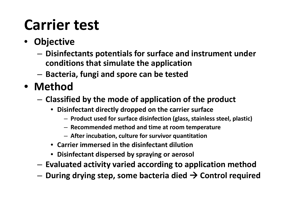### **Carrier test**

- **Objective**
	- **Disinfectants potentials for surface and instrument under conditions that simulate the application**
	- **Bacteria, fungi and spore can be tested**
- **Method**
	- – **Classified by the mode of application of the product**
		- **Disinfectant directly dropped on the carrier surface**
			- **Product used for surface disinfection (glass, stainless steel, plastic)**
			- **Recommended method and time at room temperature**
			- **After incubation, culture for survivor quantitation**
		- **Carrier immersed in the disinfectant dilution**
		- **Disinfectant dispersed by spraying or aerosol**
	- **Evaluated activity varied according to application method**
	- –**During drying step, some bacteria died Control required**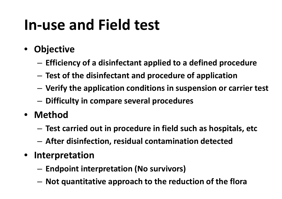### **In‐use and Field test**

- $\bullet$  **Objective**
	- –**Efficiency of <sup>a</sup> disinfectant applied to <sup>a</sup> defined procedure**
	- **Test of the disinfectant and procedure of application**
	- **Verify the application conditions in suspension or carrier test**
	- –**Difficulty in compare several procedures**
- **Method**
	- –**Test carried out in procedure in field such as hospitals, etc**
	- **After disinfection, residual contamination detected**
- $\bullet$  **Interpretation**
	- **Endpoint interpretation (No survivors)**
	- **Not quantitative approach to the reduction of the flora**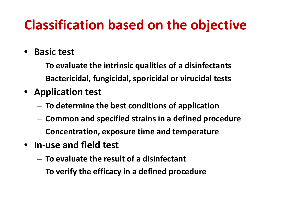#### **Classification based on the objective**

- **Basic test**
	- **To evaluate the intrinsic qualities of <sup>a</sup> disinfectants**
	- –**Bactericidal, fungicidal, sporicidal or virucidal tests**
- **Application test**
	- **To determine the best conditions of application**
	- –**Common and specified strains in <sup>a</sup> defined procedure**
	- –**Concentration, exposure time and temperature**
- **In‐use and field test**
	- **To evaluate the result of <sup>a</sup> disinfectant**
	- –**To verify the efficacy in <sup>a</sup> defined procedure**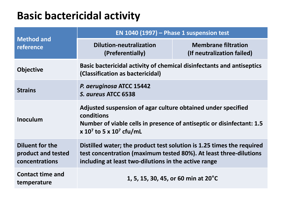#### **Basic bactericidal activity**

|                                                                | EN 1040 (1997) $-$ Phase 1 suspension test                                                                                                                                                             |                                                          |  |
|----------------------------------------------------------------|--------------------------------------------------------------------------------------------------------------------------------------------------------------------------------------------------------|----------------------------------------------------------|--|
| <b>Method and</b><br>reference                                 | <b>Dilution-neutralization</b><br>(Preferentially)                                                                                                                                                     | <b>Membrane filtration</b><br>(If neutralization failed) |  |
| <b>Objective</b>                                               | Basic bactericidal activity of chemical disinfectants and antiseptics<br>(Classification as bactericidal)                                                                                              |                                                          |  |
| <b>Strains</b>                                                 | P. aeruginosa ATCC 15442<br>S. aureus ATCC 6538                                                                                                                                                        |                                                          |  |
| <b>Inoculum</b>                                                | Adjusted suspension of agar culture obtained under specified<br>conditions<br>Number of viable cells in presence of antiseptic or disinfectant: 1.5<br>x 10 <sup>7</sup> to 5 x 10 <sup>7</sup> cfu/mL |                                                          |  |
| <b>Diluent for the</b><br>product and tested<br>concentrations | Distilled water; the product test solution is 1.25 times the required<br>test concentration (maximum tested 80%). At least three-dilutions<br>including at least two-dilutions in the active range     |                                                          |  |
| <b>Contact time and</b><br>temperature                         | 1, 5, 15, 30, 45, or 60 min at 20 <sup>°</sup> C                                                                                                                                                       |                                                          |  |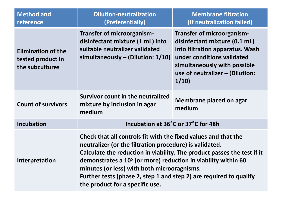| <b>Method and</b><br>reference                                    | <b>Dilution-neutralization</b><br>(Preferentially)                                                                                                                                                                                                                                                                                                                                                                                        | <b>Membrane filtration</b><br>(If neutralization failed)                                                                                                                                                |
|-------------------------------------------------------------------|-------------------------------------------------------------------------------------------------------------------------------------------------------------------------------------------------------------------------------------------------------------------------------------------------------------------------------------------------------------------------------------------------------------------------------------------|---------------------------------------------------------------------------------------------------------------------------------------------------------------------------------------------------------|
| <b>Elimination of the</b><br>tested product in<br>the subcultures | <b>Transfer of microorganism-</b><br>disinfectant mixture (1 mL) into<br>suitable neutralizer validated<br>simultaneously $-$ (Dilution: 1/10)                                                                                                                                                                                                                                                                                            | Transfer of microorganism-<br>disinfectant mixture (0.1 mL)<br>into filtration apparatus. Wash<br>under conditions validated<br>simultaneously with possible<br>use of neutralizer - (Dilution:<br>1/10 |
| <b>Count of survivors</b>                                         | Survivor count in the neutralized<br>mixture by inclusion in agar<br>medium                                                                                                                                                                                                                                                                                                                                                               | Membrane placed on agar<br>medium                                                                                                                                                                       |
| <b>Incubation</b>                                                 | Incubation at 36°C or 37°C for 48h                                                                                                                                                                                                                                                                                                                                                                                                        |                                                                                                                                                                                                         |
| <b>Interpretation</b>                                             | Check that all controls fit with the fixed values and that the<br>neutralizer (or the filtration procedure) is validated.<br>Calculate the reduction in viability. The product passes the test if it<br>demonstrates a 10 <sup>5</sup> (or more) reduction in viability within 60<br>minutes (or less) with both microoragnisms.<br>Further tests (phase 2, step 1 and step 2) are required to qualify<br>the product for a specific use. |                                                                                                                                                                                                         |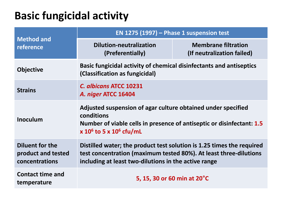#### **Basic fungicidal activity**

|                                                                | EN 1275 (1997) – Phase 1 suspension test                                                                                                                                                           |                                                          |  |
|----------------------------------------------------------------|----------------------------------------------------------------------------------------------------------------------------------------------------------------------------------------------------|----------------------------------------------------------|--|
| <b>Method and</b><br>reference                                 | <b>Dilution-neutralization</b><br>(Preferentially)                                                                                                                                                 | <b>Membrane filtration</b><br>(If neutralization failed) |  |
| <b>Objective</b>                                               | Basic fungicidal activity of chemical disinfectants and antiseptics<br>(Classification as fungicidal)                                                                                              |                                                          |  |
| <b>Strains</b>                                                 | C. albicans ATCC 10231<br>A. niger ATCC 16404                                                                                                                                                      |                                                          |  |
| <b>Inoculum</b>                                                | Adjusted suspension of agar culture obtained under specified<br>conditions<br>Number of viable cells in presence of antiseptic or disinfectant: 1.5<br>x $10^6$ to 5 x $10^6$ cfu/mL               |                                                          |  |
| <b>Diluent for the</b><br>product and tested<br>concentrations | Distilled water; the product test solution is 1.25 times the required<br>test concentration (maximum tested 80%). At least three-dilutions<br>including at least two-dilutions in the active range |                                                          |  |
| <b>Contact time and</b><br>temperature                         | 5, 15, 30 or 60 min at 20°C                                                                                                                                                                        |                                                          |  |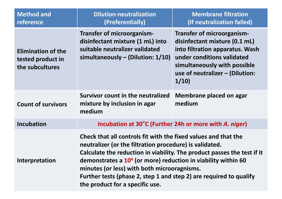| <b>Method and</b><br>reference                                    | <b>Dilution-neutralization</b><br>(Preferentially)                                                                                                                                                                                                                                                                                                                                                                                        | <b>Membrane filtration</b><br>(If neutralization failed)                                                                                                                                                |
|-------------------------------------------------------------------|-------------------------------------------------------------------------------------------------------------------------------------------------------------------------------------------------------------------------------------------------------------------------------------------------------------------------------------------------------------------------------------------------------------------------------------------|---------------------------------------------------------------------------------------------------------------------------------------------------------------------------------------------------------|
| <b>Elimination of the</b><br>tested product in<br>the subcultures | <b>Transfer of microorganism-</b><br>disinfectant mixture (1 mL) into<br>suitable neutralizer validated<br>simultaneously $-$ (Dilution: $1/10$ )                                                                                                                                                                                                                                                                                         | Transfer of microorganism-<br>disinfectant mixture (0.1 mL)<br>into filtration apparatus. Wash<br>under conditions validated<br>simultaneously with possible<br>use of neutralizer - (Dilution:<br>1/10 |
| <b>Count of survivors</b>                                         | Survivor count in the neutralized<br>mixture by inclusion in agar<br>medium                                                                                                                                                                                                                                                                                                                                                               | Membrane placed on agar<br>medium                                                                                                                                                                       |
| <b>Incubation</b>                                                 | Incubation at 30°C (Further 24h or more with A. niger)                                                                                                                                                                                                                                                                                                                                                                                    |                                                                                                                                                                                                         |
| <b>Interpretation</b>                                             | Check that all controls fit with the fixed values and that the<br>neutralizer (or the filtration procedure) is validated.<br>Calculate the reduction in viability. The product passes the test if it<br>demonstrates a 10 <sup>4</sup> (or more) reduction in viability within 60<br>minutes (or less) with both microoragnisms.<br>Further tests (phase 2, step 1 and step 2) are required to qualify<br>the product for a specific use. |                                                                                                                                                                                                         |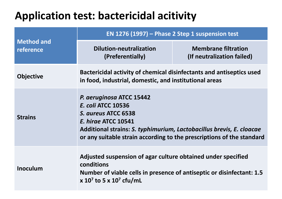#### **Application test: bactericidal acitivity**

|                                | EN 1276 (1997) – Phase 2 Step 1 suspension test                                                                                                                                                                                                             |                                                          |  |
|--------------------------------|-------------------------------------------------------------------------------------------------------------------------------------------------------------------------------------------------------------------------------------------------------------|----------------------------------------------------------|--|
| <b>Method and</b><br>reference | <b>Dilution-neutralization</b><br>(Preferentially)                                                                                                                                                                                                          | <b>Membrane filtration</b><br>(If neutralization failed) |  |
| <b>Objective</b>               | Bactericidal activity of chemical disinfectants and antiseptics used<br>in food, industrial, domestic, and institutional areas                                                                                                                              |                                                          |  |
| <b>Strains</b>                 | P. aeruginosa ATCC 15442<br><b>E. coli ATCC 10536</b><br>S. aureus ATCC 6538<br><b>E. hirge ATCC 10541</b><br>Additional strains: S. typhimurium, Lactobacillus brevis, E. cloacae<br>or any suitable strain according to the prescriptions of the standard |                                                          |  |
| <b>Inoculum</b>                | Adjusted suspension of agar culture obtained under specified<br>conditions<br>Number of viable cells in presence of antiseptic or disinfectant: 1.5<br>x 10 <sup>7</sup> to 5 x 10 <sup>7</sup> cfu/mL                                                      |                                                          |  |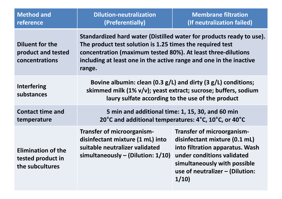| <b>Method and</b><br>reference                                    | <b>Dilution-neutralization</b><br>(Preferentially)                                                                                                                                                                                                                                | <b>Membrane filtration</b><br>(If neutralization failed)                                                                                                                                                       |
|-------------------------------------------------------------------|-----------------------------------------------------------------------------------------------------------------------------------------------------------------------------------------------------------------------------------------------------------------------------------|----------------------------------------------------------------------------------------------------------------------------------------------------------------------------------------------------------------|
| <b>Diluent for the</b><br>product and tested<br>concentrations    | Standardized hard water (Distilled water for products ready to use).<br>The product test solution is 1.25 times the required test<br>concentration (maximum tested 80%). At least three-dilutions<br>including at least one in the active range and one in the inactive<br>range. |                                                                                                                                                                                                                |
| <b>Interfering</b><br>substances                                  | Bovine albumin: clean (0.3 g/L) and dirty (3 g/L) conditions;<br>skimmed milk (1% v/v); yeast extract; sucrose; buffers, sodium<br>laury sulfate according to the use of the product                                                                                              |                                                                                                                                                                                                                |
| <b>Contact time and</b><br>temperature                            | 5 min and additional time: 1, 15, 30, and 60 min<br>20°C and additional temperatures: 4°C, 10°C, or 40°C                                                                                                                                                                          |                                                                                                                                                                                                                |
| <b>Elimination of the</b><br>tested product in<br>the subcultures | <b>Transfer of microorganism-</b><br>disinfectant mixture (1 mL) into<br>suitable neutralizer validated<br>simultaneously $-$ (Dilution: 1/10)                                                                                                                                    | <b>Transfer of microorganism-</b><br>disinfectant mixture (0.1 mL)<br>into filtration apparatus. Wash<br>under conditions validated<br>simultaneously with possible<br>use of neutralizer - (Dilution:<br>1/10 |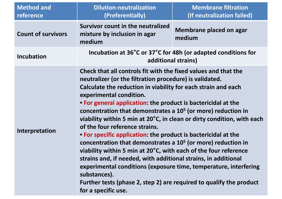| <b>Method and</b><br>reference | <b>Dilution-neutralization</b><br>(Preferentially)                                                                                                                                                                                                                                                                                                                                                                                                                                                                                                                                                                                                                                                                                                                                                                                                                                                                           | <b>Membrane filtration</b><br>(If neutralization failed) |
|--------------------------------|------------------------------------------------------------------------------------------------------------------------------------------------------------------------------------------------------------------------------------------------------------------------------------------------------------------------------------------------------------------------------------------------------------------------------------------------------------------------------------------------------------------------------------------------------------------------------------------------------------------------------------------------------------------------------------------------------------------------------------------------------------------------------------------------------------------------------------------------------------------------------------------------------------------------------|----------------------------------------------------------|
| <b>Count of survivors</b>      | Survivor count in the neutralized<br>mixture by inclusion in agar<br>medium                                                                                                                                                                                                                                                                                                                                                                                                                                                                                                                                                                                                                                                                                                                                                                                                                                                  | <b>Membrane placed on agar</b><br>medium                 |
| <b>Incubation</b>              | Incubation at 36°C or 37°C for 48h (or adapted conditions for<br>additional strains)                                                                                                                                                                                                                                                                                                                                                                                                                                                                                                                                                                                                                                                                                                                                                                                                                                         |                                                          |
| Interpretation                 | Check that all controls fit with the fixed values and that the<br>neutralizer (or the filtration procedure) is validated.<br>Calculate the reduction in viability for each strain and each<br>experimental condition.<br>• For general application: the product is bactericidal at the<br>concentration that demonstrates a 10 <sup>5</sup> (or more) reduction in<br>viability within 5 min at 20°C, in clean or dirty condition, with each<br>of the four reference strains.<br>• For specific application: the product is bactericidal at the<br>concentration that demonstrates a 10 <sup>5</sup> (or more) reduction in<br>viability within 5 min at 20°C, with each of the four reference<br>strains and, if needed, with additional strains, in additional<br>experimental conditions (exposure time, temperature, interfering<br>substances).<br>Further tests (phase 2, step 2) are required to qualify the product |                                                          |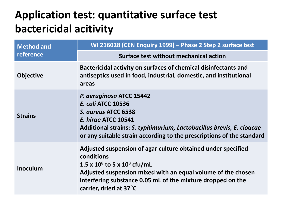#### **Application test: quantitative surface test bactericidal acitivity**

| <b>Method and</b> | WI 216028 (CEN Enquiry 1999) - Phase 2 Step 2 surface test                                                                                                                                                                                                               |  |
|-------------------|--------------------------------------------------------------------------------------------------------------------------------------------------------------------------------------------------------------------------------------------------------------------------|--|
| reference         | Surface test without mechanical action                                                                                                                                                                                                                                   |  |
| <b>Objective</b>  | Bactericidal activity on surfaces of chemical disinfectants and<br>antiseptics used in food, industrial, domestic, and institutional<br>areas                                                                                                                            |  |
| <b>Strains</b>    | P. aeruginosa ATCC 15442<br><b>E. coli ATCC 10536</b><br>S. aureus ATCC 6538<br><b>E. hirge ATCC 10541</b><br>Additional strains: S. typhimurium, Lactobacillus brevis, E. cloacae<br>or any suitable strain according to the prescriptions of the standard              |  |
| <b>Inoculum</b>   | Adjusted suspension of agar culture obtained under specified<br>conditions<br>1.5 x $10^8$ to 5 x $10^8$ cfu/mL<br>Adjusted suspension mixed with an equal volume of the chosen<br>interfering substance 0.05 mL of the mixture dropped on the<br>carrier, dried at 37°C |  |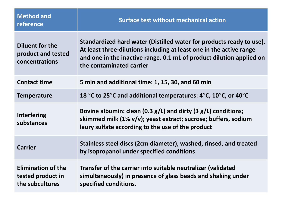| <b>Method and</b><br>reference                                    | <b>Surface test without mechanical action</b>                                                                                                                                                                                                   |
|-------------------------------------------------------------------|-------------------------------------------------------------------------------------------------------------------------------------------------------------------------------------------------------------------------------------------------|
| <b>Diluent for the</b><br>product and tested<br>concentrations    | Standardized hard water (Distilled water for products ready to use).<br>At least three-dilutions including at least one in the active range<br>and one in the inactive range. 0.1 mL of product dilution applied on<br>the contaminated carrier |
| <b>Contact time</b>                                               | 5 min and additional time: 1, 15, 30, and 60 min                                                                                                                                                                                                |
| <b>Temperature</b>                                                | 18 °C to 25°C and additional temperatures: 4°C, 10°C, or 40°C                                                                                                                                                                                   |
| <b>Interfering</b><br>substances                                  | Bovine albumin: clean (0.3 $g/L$ ) and dirty (3 $g/L$ ) conditions;<br>skimmed milk (1% v/v); yeast extract; sucrose; buffers, sodium<br>laury sulfate according to the use of the product                                                      |
| <b>Carrier</b>                                                    | Stainless steel discs (2cm diameter), washed, rinsed, and treated<br>by isopropanol under specified conditions                                                                                                                                  |
| <b>Elimination of the</b><br>tested product in<br>the subcultures | Transfer of the carrier into suitable neutralizer (validated<br>simultaneously) in presence of glass beads and shaking under<br>specified conditions.                                                                                           |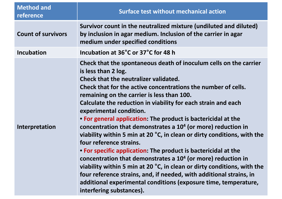| <b>Method and</b><br>reference | <b>Surface test without mechanical action</b>                                                                                                                                                                                                                                                                                                                                                                                                                                                                                                                                                                                                                                                                                                                                                                                                                                                                                                                                                  |
|--------------------------------|------------------------------------------------------------------------------------------------------------------------------------------------------------------------------------------------------------------------------------------------------------------------------------------------------------------------------------------------------------------------------------------------------------------------------------------------------------------------------------------------------------------------------------------------------------------------------------------------------------------------------------------------------------------------------------------------------------------------------------------------------------------------------------------------------------------------------------------------------------------------------------------------------------------------------------------------------------------------------------------------|
| <b>Count of survivors</b>      | Survivor count in the neutralized mixture (undiluted and diluted)<br>by inclusion in agar medium. Inclusion of the carrier in agar<br>medium under specified conditions                                                                                                                                                                                                                                                                                                                                                                                                                                                                                                                                                                                                                                                                                                                                                                                                                        |
| <b>Incubation</b>              | Incubation at 36°C or 37°C for 48 h                                                                                                                                                                                                                                                                                                                                                                                                                                                                                                                                                                                                                                                                                                                                                                                                                                                                                                                                                            |
| Interpretation                 | Check that the spontaneous death of inoculum cells on the carrier<br>is less than 2 log.<br>Check that the neutralizer validated.<br>Check that for the active concentrations the number of cells.<br>remaining on the carrier is less than 100.<br>Calculate the reduction in viability for each strain and each<br>experimental condition.<br>• For general application: The product is bactericidal at the<br>concentration that demonstrates a 10 <sup>4</sup> (or more) reduction in<br>viability within 5 min at 20 °C, in clean or dirty conditions, with the<br>four reference strains.<br>• For specific application: The product is bactericidal at the<br>concentration that demonstrates a 10 <sup>4</sup> (or more) reduction in<br>viability within 5 min at 20 °C, in clean or dirty conditions, with the<br>four reference strains, and, if needed, with additional strains, in<br>additional experimental conditions (exposure time, temperature,<br>interfering substances). |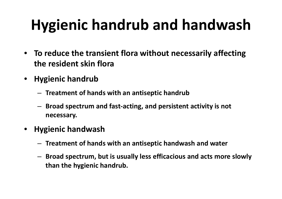### **Hygienic handrub and handwash**

- • **To reduce the transient flora without necessarily affecting the resident skin flora**
- **Hygienic handrub**
	- **Treatment of hands with an antiseptic handrub**
	- – **Broad spectrum and fast‐acting, and persistent activity is not necessary.**
- $\bullet$  **Hygienic handwash**
	- –**Treatment of hands with an antiseptic handwash and water**
	- **Broad spectrum, but is usually less efficacious and acts more slowly than the hygienic handrub.**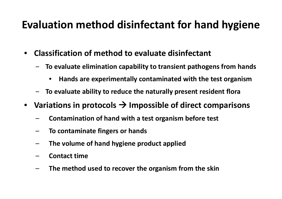#### **Evaluation method disinfectant for hand hygiene**

- $\bullet$  **Classification of method to evaluate disinfectant**
	- ‒ **To evaluate elimination capability to transient pathogens from hands**
		- •**Hands are experimentally contaminated with the test organism**
	- ‒**To evaluate ability to reduce the naturally present resident flora**
- **Variations in protocols Impossible of direct comparisons**
	- **Contamination of hand with <sup>a</sup> test organism before test**
	- **To contaminate fingers or hands**
	- **The volume of hand hygiene product applied**
	- **Contact time**
	- **The method used to recover the organism from the skin**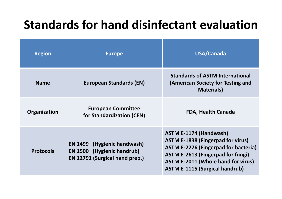#### **Standards for hand disinfectant evaluation**

| <b>Region</b>    | <b>Europe</b>                                                                                                    | USA/Canada                                                                                                                                                                                                                                                 |
|------------------|------------------------------------------------------------------------------------------------------------------|------------------------------------------------------------------------------------------------------------------------------------------------------------------------------------------------------------------------------------------------------------|
| <b>Name</b>      | <b>European Standards (EN)</b>                                                                                   | <b>Standards of ASTM International</b><br>(American Society for Testing and<br><b>Materials</b> )                                                                                                                                                          |
| Organization     | <b>European Committee</b><br>for Standardization (CEN)                                                           | <b>FDA, Health Canada</b>                                                                                                                                                                                                                                  |
| <b>Protocols</b> | <b>EN 1499</b> (Hygienic handwash)<br><b>EN 1500 (Hygienic handrub)</b><br><b>EN 12791 (Surgical hand prep.)</b> | <b>ASTM E-1174 (Handwash)</b><br><b>ASTM E-1838 (Fingerpad for virus)</b><br><b>ASTM E-2276 (Fingerpad for bacteria)</b><br><b>ASTM E-2613 (Fingerpad for fungi)</b><br><b>ASTM E-2011 (Whole hand for virus)</b><br><b>ASTM E-1115 (Surgical handrub)</b> |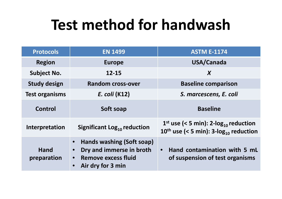#### **Test method for handwash**

| <b>Protocols</b>      | <b>EN 1499</b>                                                                                                                                  | <b>ASTM E-1174</b>                                                                                                     |
|-----------------------|-------------------------------------------------------------------------------------------------------------------------------------------------|------------------------------------------------------------------------------------------------------------------------|
| <b>Region</b>         | <b>Europe</b>                                                                                                                                   | USA/Canada                                                                                                             |
| <b>Subject No.</b>    | $12 - 15$                                                                                                                                       | $\boldsymbol{X}$                                                                                                       |
| <b>Study design</b>   | <b>Random cross-over</b>                                                                                                                        | <b>Baseline comparison</b>                                                                                             |
| <b>Test organisms</b> | E. coli (K12)                                                                                                                                   | S. marcescens, E. coli                                                                                                 |
| Control               | Soft soap                                                                                                                                       | <b>Baseline</b>                                                                                                        |
| Interpretation        | Significant Log <sub>10</sub> reduction                                                                                                         | $1st$ use (< 5 min): 2-log <sub>10</sub> reduction<br>10 <sup>th</sup> use (< 5 min): $3$ -log <sub>10</sub> reduction |
| Hand<br>preparation   | Hands washing (Soft soap)<br>$\bullet$<br>Dry and immerse in broth<br>$\bullet$<br><b>Remove excess fluid</b><br>Air dry for 3 min<br>$\bullet$ | Hand contamination with 5 mL<br>$\bullet$<br>of suspension of test organisms                                           |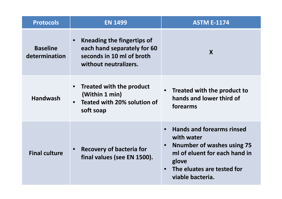| <b>Protocols</b>                 | <b>EN 1499</b>                                                                                                  | <b>ASTM E-1174</b>                                                                                                                                                                                        |
|----------------------------------|-----------------------------------------------------------------------------------------------------------------|-----------------------------------------------------------------------------------------------------------------------------------------------------------------------------------------------------------|
| <b>Baseline</b><br>determination | Kneading the fingertips of<br>each hand separately for 60<br>seconds in 10 ml of broth<br>without neutralizers. | X                                                                                                                                                                                                         |
| <b>Handwash</b>                  | <b>Treated with the product</b><br>(Within 1 min)<br>Teated with 20% solution of<br>soft soap                   | • Treated with the product to<br>hands and lower third of<br>forearms                                                                                                                                     |
| <b>Final culture</b>             | <b>Recovery of bacteria for</b><br>final values (see EN 1500).                                                  | <b>Hands and forearms rinsed</b><br>$\bullet$<br>with water<br><b>Nnumber of washes using 75</b><br>$\bullet$<br>ml of eluent for each hand in<br>glove<br>The eluates are tested for<br>viable bacteria. |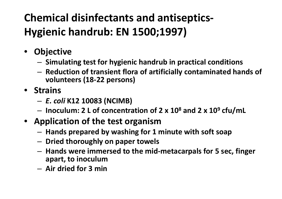#### **Chemical disinfectants and antiseptics‐ Hygienic handrub: EN 1500;1997)**

- **Objective**
	- –**Simulating test for hygienic handrub in practical conditions**
	- – **Reduction of transient flora of artificially contaminated hands of volunteers (18‐22 persons)**
- **Strains**
	- *E. coli* **K12 10083 (NCIMB)**
	- –**Inoculum: 2 L of concentration of 2 <sup>x</sup> 10<sup>8</sup> and 2 <sup>x</sup> 10<sup>9</sup> cfu/mL**
- **Application of the test organism**
	- –**Hands prepared by washing for 1 minute with soft soap**
	- **Dried thoroughly on paper towels**
	- **Hands were immersed to the mid‐metacarpals for 5 sec, finger apart, to inoculum**
	- **Air dried for 3 min**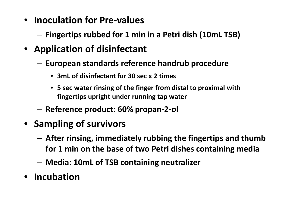- **Inoculation for Pre‐values**
	- **Fingertips rubbed for 1 min in <sup>a</sup> Petri dish (10mL TSB)**
- **Application of disinfectant**
	- **European standards reference handrub procedure**
		- **3mL of disinfectant for 30 sec <sup>x</sup> 2 times**
		- **5 sec water rinsing of the finger from distal to proximal with fingertips upright under running tap water**
	- –**Reference product: 60% propan‐2‐ol**
- **Sampling of survivors**
	- – **After rinsing, immediately rubbing the fingertips and thumb for 1 min on the base of two Petri dishes containing media**
	- **Media: 10mL of TSB containing neutralizer**
- **Incubation**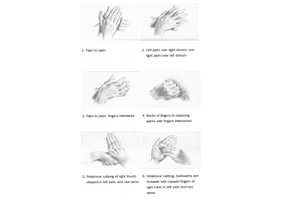

right hand in left palm and vice versa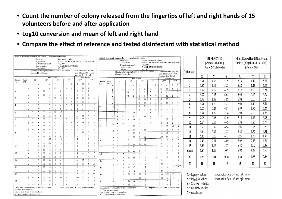- **Count the number of colony released from the fingertips of left and right hands of 15 volunteers before and after application**
- **Log10 conversion and mean of left and right hand**
- **Compare the effect of reference and tested disinfectant with statistical method**

| Table 1 Reference handrub procedure - experimental results                                                                                                           |                                                                |                      |             |                                    |  | Table 2 Test handrub procedure - experimental results          |                          |                                                      |                                             |                                  |                                                                                 |               |                                                                                             |                     |                                                                                 |                      |                 |                                  | <b>REFERENCE</b>                     |                                                          |                     | <b>Ebiox EsenseHand Disinfectant</b> |                                                               |                             |                               |      |                 |                                      |      |      |   |   |
|----------------------------------------------------------------------------------------------------------------------------------------------------------------------|----------------------------------------------------------------|----------------------|-------------|------------------------------------|--|----------------------------------------------------------------|--------------------------|------------------------------------------------------|---------------------------------------------|----------------------------------|---------------------------------------------------------------------------------|---------------|---------------------------------------------------------------------------------------------|---------------------|---------------------------------------------------------------------------------|----------------------|-----------------|----------------------------------|--------------------------------------|----------------------------------------------------------|---------------------|--------------------------------------|---------------------------------------------------------------|-----------------------------|-------------------------------|------|-----------------|--------------------------------------|------|------|---|---|
| $60\%$ propan-2-ol v/v<br>Preparation:<br>Rub-in 3 ml/30s repeat once (6ml total over 60s)<br>Application:                                                           |                                                                |                      |             |                                    |  |                                                                |                          |                                                      | Esence handrub disinfectant<br>Preparation: |                                  |                                                                                 |               |                                                                                             |                     |                                                                                 |                      |                 |                                  |                                      |                                                          |                     |                                      |                                                               |                             |                               |      |                 |                                      |      |      |   |   |
|                                                                                                                                                                      |                                                                |                      |             | Date of experiment:                |  | <b>July 2004</b>                                               |                          |                                                      |                                             |                                  |                                                                                 |               | Rub-in 3 ml/30s repeat once (6ml total over 60s)<br>Application:                            |                     |                                                                                 |                      |                 |                                  |                                      | 3ml x 1 (30s) then 3ml x 1 (30s)<br>propan 2 ol $(60\%)$ |                     |                                      |                                                               |                             |                               |      |                 |                                      |      |      |   |   |
|                                                                                                                                                                      |                                                                |                      |             | Test organism:                     |  |                                                                |                          | E. coli K 12 NCTC 10538                              |                                             |                                  |                                                                                 |               | <b>July 2004</b><br>Date of experiment:                                                     |                     |                                                                                 |                      |                 |                                  |                                      |                                                          |                     |                                      |                                                               |                             |                               |      |                 |                                      |      |      |   |   |
|                                                                                                                                                                      |                                                                |                      | Suspension: |                                    |  | $9.0 \times 10^8$                                              |                          |                                                      |                                             |                                  |                                                                                 |               |                                                                                             |                     | E. coli K 12 NCTC 10538<br>Test organism:<br>$9.0 \times 10^{8}$<br>Suspension: |                      |                 |                                  |                                      |                                                          |                     |                                      |                                                               | $3ml \times 2$ (Total =60s) |                               |      | $(Total = 60s)$ |                                      |      |      |   |   |
|                                                                                                                                                                      |                                                                |                      |             |                                    |  | Number of cfu's per plate from dilution 10 <sup>x</sup> counts |                          |                                                      |                                             |                                  | Number of cfu's per plate<br>from dilution $10x$ counts                         |               | Number of cfu's per plate<br>Number of cfu's per plate from dilution 10 <sup>x</sup> counts |                     |                                                                                 |                      |                 |                                  |                                      |                                                          |                     |                                      |                                                               | Volunteer                   |                               |      |                 |                                      |      |      |   |   |
|                                                                                                                                                                      |                                                                | obtained from 0.1 ml |             |                                    |  |                                                                |                          |                                                      |                                             |                                  | obtained from 0.5 ml                                                            |               |                                                                                             |                     |                                                                                 | obtained from 0.1 ml |                 |                                  |                                      |                                                          |                     |                                      | from dilution $10x$ counts                                    |                             |                               |      |                 |                                      |      |      |   |   |
|                                                                                                                                                                      |                                                                |                      |             |                                    |  |                                                                | Pre-values               |                                                      |                                             |                                  |                                                                                 |               | <b>Post-values</b>                                                                          |                     |                                                                                 |                      |                 |                                  |                                      |                                                          |                     |                                      |                                                               | obtained from 0.5 ml        | Post-values                   |      | X               | Y                                    | Z    | X    | Y | Z |
| Subject<br>No.                                                                                                                                                       | Hand<br>L/R                                                    | $10^{-3}$            |             | $10^{-4}$                          |  | $10^{-5}$                                                      |                          | $10^{-6}$                                            |                                             | $10^{0*}$                        | $10^{1*}$                                                                       |               | Subject Hand                                                                                | $10^{-3}$           |                                                                                 | $10^{-4}$            | Pre-values      | $10^{-5}$                        |                                      | $10^{-6}$                                                |                     | $10^{0*}$                            | $10^{1*}$                                                     |                             | 6.91                          | 1.52 | 5.39            | 7.13                                 | 1.42 | 5.71 |   |   |
| $\mathbf{1}$                                                                                                                                                         | L                                                              | $+$                  | $+$         | $+$                                |  | $\mathcal{I}$<br>10                                            | $\perp$                  | $\overline{0}$                                       | 12                                          | 15                               | $\overline{0}$<br>$\mathbf{0}$                                                  | No.           | L/R<br>L                                                                                    | $+$                 | $+$                                                                             |                      | $+$             | 17<br>9                          | $\perp$                              | $\frac{3}{2}$                                            | $^{9}$              | $\overline{2}$                       | $\mathbf{0}$<br>$\overline{0}$                                | $\overline{2}$              | 6.67                          | 1.14 | 5.53            | 6.28                                 | 1.23 | 5.05 |   |   |
|                                                                                                                                                                      |                                                                |                      |             | $+$                                |  | 13<br>$\overline{2}$                                           | $\overline{0}$           | $\overline{2}$                                       | 17                                          | 23                               | $\overline{4}$                                                                  |               |                                                                                             |                     |                                                                                 |                      | $+$             | 23<br>10                         | $\overline{0}$                       |                                                          | 23                  | 23                                   | $\overline{3}$<br>$\overline{2}$                              | 3                           | 6.97                          | 2.18 | 4.79            | 7.10                                 | 1.89 | 5.21 |   |   |
| 2                                                                                                                                                                    |                                                                |                      |             | 42<br>61                           |  | 9<br>6                                                         |                          | $\mathbf{1}$                                         | 10                                          | 8                                | $\overline{0}$                                                                  | $\mathcal{L}$ |                                                                                             | $+$                 |                                                                                 | 18                   | 19              |                                  | $\Omega$                             |                                                          |                     | $\overline{2}$                       | $\overline{0}$<br>$\overline{0}$                              |                             |                               |      |                 |                                      |      |      |   |   |
| $\overline{3}$                                                                                                                                                       |                                                                |                      |             | 27<br>29                           |  | $\overline{2}$<br>6<br>13<br>10                                |                          | $\perp$                                              | 49                                          | $\overline{2}$<br>61             | $\overline{4}$<br>$\overline{2}$                                                |               | $\mathbb{R}$                                                                                | $\ddot{}$           | $+$                                                                             | 15                   | 22              | $\overline{2}$<br>$\overline{2}$ | $\mathbf{0}$                         | $\bf{0}$                                                 | 51                  | 58                                   | $\overline{4}$<br>$\overline{4}$                              | 4                           | 6.97                          | 0.35 | 6.62            | 6.94                                 | 0.15 | 6.79 |   |   |
|                                                                                                                                                                      |                                                                |                      |             |                                    |  | $\overline{5}$<br>$_{11}$                                      |                          | $\overline{0}$                                       | $\frac{76}{2}$                              | $\overline{26}$                  | 15<br>8                                                                         | $\mathcal{R}$ |                                                                                             | $^{+}$              |                                                                                 |                      | $\div$          | 25                               | 16<br>$\overline{0}$                 | $\overline{2}$                                           | 30                  | 35                                   | $\overline{5}$<br>$\overline{0}$                              | 5                           | 6.97                          | 1.08 | 5.89            | 6.98                                 | 0.69 | 6.29 |   |   |
| $\overline{4}$                                                                                                                                                       |                                                                |                      | $+$         | $+$                                |  | $\overline{1}$<br>8                                            | $\theta$                 | $\overline{0}$                                       | $\overline{0}$                              | $\overline{0}$                   | $\overline{0}$<br>$\circ$                                                       | $\Delta$      | $\mathbb{R}$                                                                                | $^{+}$              |                                                                                 |                      | $^{+}$          | 11                               | 14<br>$\overline{0}$<br>$\mathbf{0}$ | $\overline{2}$<br>$\overline{0}$                         | 33                  | 56<br>$\overline{0}$                 | 6<br>$\overline{0}$<br>$\overline{0}$                         | 6                           | 6.91                          | 1.70 | 5.21            | 7.04                                 | 1.40 | 5.64 |   |   |
|                                                                                                                                                                      | $\mathbb{R}$                                                   |                      |             | $\overline{+}$                     |  | 2<br>6                                                         |                          | $\overline{2}$                                       | $\overline{4}$                              |                                  | $\overline{0}$<br>$\overline{0}$                                                |               | $\mathbb{R}$                                                                                |                     |                                                                                 |                      | $+$             |                                  |                                      | $\overline{0}$                                           |                     | $\Omega$                             | $\overline{0}$                                                |                             | 7.05                          | 0.24 | 6.81            | 6.99                                 | 1.75 | 5.24 |   |   |
| $\overline{5}$                                                                                                                                                       |                                                                |                      |             | 82                                 |  | 14<br>10                                                       |                          | $\sim$                                               |                                             | $\overline{2}$                   | $\overline{0}$<br>$\mathbf{1}$                                                  | 5             |                                                                                             | $+$                 | $+$                                                                             | 81                   | 76              | 11<br>$\overline{1}$             |                                      | $\sim$                                                   | $6\overline{6}$     | $\overline{2}$                       | $\overline{0}$<br>$\overline{0}$                              | 8                           | 6.94                          | 1.78 | 5.16            | 6.93                                 | 2.20 | 4.73 |   |   |
| 6                                                                                                                                                                    |                                                                |                      |             | 87<br>$\underline{60}$<br>93<br>77 |  | 9<br>12<br>$\mathbf{0}$                                        |                          | 2                                                    | 17<br>69                                    | 12<br>$\frac{76}{2}$             | $\overline{0}$<br>10<br>$\overline{2}$                                          |               |                                                                                             | $\overline{+}$      |                                                                                 | 83                   | 97              | 17                               | <u>16</u>                            | $\sim$                                                   | $\overline{2}$      | <b>T</b>                             | $\overline{0}$<br>$\Omega$                                    | 9                           | 7.05                          | 0.95 | 6.10            | 7.16                                 | 1.13 | 6.03 |   |   |
|                                                                                                                                                                      |                                                                |                      |             | 90<br>71                           |  | 17<br>$\frac{3}{2}$                                            | $\overline{3}$           | $\bf{0}$                                             | 14                                          | 13                               | $\overline{0}$<br>$\perp$                                                       | 6             |                                                                                             | $+$                 |                                                                                 | 88                   | $\overline{78}$ | 10                               | $\overline{3}$                       | $\overline{0}$                                           | $\overline{13}$     | 17                                   | $\perp$<br>$\overline{0}$<br>3                                | 10                          | 6.64                          | 0.15 | 6.49            | 6.88                                 | 0.85 | 6.03 |   |   |
| $\overline{7}$                                                                                                                                                       |                                                                |                      |             | 91<br>84                           |  | 13<br>12                                                       |                          |                                                      | $\overline{\mathbf{3}}$                     | $\overline{0}$                   | $\overline{0}$<br>$\theta$                                                      |               |                                                                                             |                     |                                                                                 | 67                   | 77              | -8<br>12                         | 6<br>9                               |                                                          | 40                  | 13<br>38                             | $\mathcal{I}$<br>10                                           | 11                          | 6.93                          | 0.39 | 6.54            | 6.95                                 | 0.75 | 6.20 |   |   |
|                                                                                                                                                                      | $\mathbb{R}$                                                   |                      |             | 93<br>93                           |  | 17<br>$\perp$                                                  | $\sim$                   | $\sim$                                               |                                             | $\overline{0}$                   | $\overline{0}$<br>$\mathbf{0}$                                                  |               | $\mathbb{R}$                                                                                |                     |                                                                                 | 96                   | 82              | 12                               | 13                                   |                                                          | 10                  | 16                                   | $\overline{0}$<br>$\theta$                                    |                             |                               |      |                 |                                      |      |      |   |   |
| 8                                                                                                                                                                    |                                                                |                      | $+$         | 88<br>91                           |  | 8<br>$^{9}$                                                    |                          |                                                      | 55                                          | 10                               | $\overline{0}$<br>$\mathbf{0}$                                                  | $\mathbf{R}$  |                                                                                             | $+$                 |                                                                                 | 90                   | 87              | $\overline{9}$                   | 6                                    |                                                          | $\overline{51}$     | 70                                   | 10<br>$\mathcal{I}$                                           | 12                          | 6.34                          | 2.07 | 4.27            | 6.28                                 | 1.77 | 4.51 |   |   |
| 9                                                                                                                                                                    |                                                                |                      |             | 77<br>80<br>104<br>105             |  | $\overline{11}$<br>8<br>18<br>8                                |                          | $\overline{\phantom{a}}$<br>$\overline{\phantom{a}}$ | 50<br>$\overline{2}$                        | $\overline{5}$<br>$\overline{2}$ | $\theta$<br>$\theta$<br>$\overline{0}$<br>$\mathbf{0}$                          |               | $\mathbb{R}$                                                                                | $+$                 | $+$                                                                             | 78                   | 86              | $\mathbf{Z}$                     | 12                                   | $\sim$<br>$\sim$                                         | 101                 | 95                                   | 13<br>$\overline{0}$<br>$\Omega$                              | 13                          | 6.30                          | 0.15 | 6.15            | 6.26                                 | 1.33 | 4.93 |   |   |
|                                                                                                                                                                      |                                                                | $+$                  | $^{+}$      | 444<br>104                         |  | $\mathcal{I}$<br>$\overline{13}$                               |                          |                                                      |                                             | $\overline{2}$                   | $\overline{2}$<br>$\mathbf{0}$                                                  | $\Omega$      | L                                                                                           |                     |                                                                                 |                      |                 | 19                               | $\overline{15}$                      |                                                          |                     | 6                                    | $\overline{0}$                                                | 14                          | 7.40                          | 2.71 | 4.69            | 7.02                                 | 2.18 | 4.84 |   |   |
| 10                                                                                                                                                                   | $\mathbb{R}$                                                   | $+$                  | $^{+}$      | 46<br>31                           |  | $\overline{4}$<br>$\overline{5}$                               |                          |                                                      |                                             | $\overline{0}$                   | $\overline{0}$<br>$\circ$                                                       | 10            |                                                                                             | L                   | $+$                                                                             | 99<br>68             | 112<br>64       | 16                               | 12                                   |                                                          | 8<br>$\overline{8}$ | 12<br>$\overline{2}$                 | $\overline{0}$<br>$\theta$                                    | 15                          | 6.53                          | 1.16 | 5.37            | 6.40                                 | 1.02 | 5.38 |   |   |
|                                                                                                                                                                      | $\mathbb{R}$                                                   |                      |             | 38<br>32                           |  | $\overline{1}$<br>$\overline{4}$                               | $\sim$                   | $\sim$                                               |                                             | $\perp$                          | $\overline{0}$                                                                  |               | $\mathbb{R}$                                                                                |                     | $+$                                                                             | 94                   | 70              | 2                                | $\mathcal{I}$                        |                                                          | $\overline{2}$      | $\overline{3}$                       | $\bf{0}$<br>$\mathbf{0}$                                      | mean                        | 6.84                          | 1.17 | 5.67            | 6.82                                 | 1.32 | 5.50 |   |   |
| 11                                                                                                                                                                   | L                                                              |                      | $+$         | 83<br>61                           |  | $\underline{8}$<br>$\overline{2}$                              |                          | $\overline{\phantom{a}}$                             |                                             | $\overline{2}$                   | $\overline{0}$                                                                  | 11            |                                                                                             | $+$                 | $+$                                                                             | 89                   | 105             | 6                                | 15                                   |                                                          | $\overline{2}$      | $\overline{0}$                       | $\overline{0}$<br>$\theta$                                    |                             |                               |      |                 |                                      |      |      |   |   |
|                                                                                                                                                                      | $\mathbb{R}$                                                   |                      |             | 81<br>68                           |  | 19<br>8<br>$\sqrt{2}$                                          |                          | $\overline{\phantom{a}}$                             | 47                                          | $\frac{38}{5}$                   | $\overline{0}$<br>$\theta$<br>$\overline{4}$                                    |               | R                                                                                           |                     | $+$                                                                             | 69                   | 68              |                                  | 10                                   |                                                          | $\overline{1}$      | 9                                    | $\mathbf{0}$<br>$\theta$                                      | S                           | 0.29                          | 0.81 | 0.78            | 0.33                                 | 0.58 | 0.66 |   |   |
| 12                                                                                                                                                                   |                                                                |                      |             | 31<br>36                           |  | $\overline{2}$                                                 |                          |                                                      | 95                                          | 96                               | $\perp$<br>13<br>$\underline{8}$                                                | 12            |                                                                                             | L<br>$+$            | $+$                                                                             | 13                   | 9               |                                  |                                      |                                                          | $\overline{2}$      | 14                                   | $\mathbf{0}$                                                  | N                           | 15                            | 15   | 15              | 15                                   | 15   | 15   |   |   |
| 13                                                                                                                                                                   |                                                                |                      |             | 25<br>25<br>13<br>17               |  | $\overline{2}$<br>$\overline{0}$<br>$\perp$<br>$\perp$         |                          |                                                      | $\overline{2}$                              | $\overline{0}$                   | $\overline{0}$<br>$\Omega$                                                      | 13            | $\mathbb{R}$<br>L                                                                           |                     | $+$                                                                             | 24<br>25             | 45<br>27        | $\overline{4}$<br>$\overline{4}$ |                                      | $\overline{\phantom{a}}$                                 | 75<br>6             | 98<br>12                             | 13<br>8<br>$\bf{0}$                                           |                             |                               |      |                 |                                      |      |      |   |   |
|                                                                                                                                                                      | $\mathbb{R}$                                                   |                      |             | 29<br>24                           |  | $\overline{2}$<br>$\overline{2}$                               | $\overline{\phantom{a}}$ | $\sim$                                               |                                             | $\underline{0}$                  | $\mathbf{0}$<br>$\mathbf{0}$                                                    |               | $\mathbb{R}$                                                                                |                     | $+$                                                                             | 18                   | 18              |                                  | $\overline{0}$                       | $\sim$ $\sim$<br>$\sim$                                  | 11                  | $\frac{14}{1}$                       | $\overline{0}$<br>$\overline{0}$                              |                             |                               |      |                 |                                      |      |      |   |   |
| 14                                                                                                                                                                   |                                                                |                      |             | $+$                                |  | $\overline{21}$<br>17                                          |                          | $\sim$                                               |                                             | $+$                              | 64<br>69                                                                        | 14            |                                                                                             |                     | $+$                                                                             | 100                  | 83              | 15                               | 8                                    |                                                          | 122                 | 111                                  | 18<br>$\perp$                                                 |                             | $X = log_{10}$ pre values     |      |                 | mean value from left and right hands |      |      |   |   |
|                                                                                                                                                                      | $\mathbb{R}$                                                   |                      |             | $+$                                |  | 36<br>28                                                       |                          |                                                      | 115                                         | 101                              | $\overline{2}$<br>8                                                             |               |                                                                                             |                     | $\ddot{}$                                                                       |                      |                 | 10                               | $\perp$                              |                                                          | $\frac{48}{1}$      | 45                                   | $\overline{2}$<br>6                                           |                             | $Y = log_{10}$ post values    |      |                 | mean value from left and right hands |      |      |   |   |
| 15                                                                                                                                                                   | L                                                              | $+$                  | $+$         | 38<br>38                           |  | $\overline{2}$<br>$\overline{5}$                               |                          | $\sim$                                               | $\overline{5}$                              | 7                                | $\overline{0}$<br>$\overline{0}$                                                | 15            | L                                                                                           |                     | $+$                                                                             | 25                   | 28              | $\overline{4}$                   | $\overline{4}$                       |                                                          | $\overline{4}$      | $\overline{8}$                       | $\overline{2}$<br>$\overline{1}$                              |                             | $Z = X-Y \log_{10}$ reduction |      |                 |                                      |      |      |   |   |
|                                                                                                                                                                      | $\mathbb{R}$<br>Underlined: count used for further computation | $+$                  | $+$         | 35<br>32                           |  | $\overline{2}$<br>$\perp$                                      |                          |                                                      |                                             |                                  | $\overline{0}$<br>$\Omega$<br>NB – in precount $(10^{-6})$ = no count available |               | Underlined: count used for further computation                                              | $+$<br>$\mathbb{R}$ | $+$                                                                             | 17                   | 18              | $\overline{3}$                   |                                      |                                                          | $\overline{2}$      | $\overline{4}$                       | $\,0\,$<br>NB – in pre-count $(10^{-6})$ = no count available |                             | $S =$ standard deviation      |      |                 |                                      |      |      |   |   |
|                                                                                                                                                                      | $+=$ Too many to count                                         |                      |             |                                    |  |                                                                |                          |                                                      |                                             |                                  |                                                                                 |               |                                                                                             |                     |                                                                                 |                      |                 |                                  |                                      |                                                          |                     |                                      |                                                               |                             |                               |      |                 |                                      |      |      |   |   |
| $+=$ Too many to count<br>Spaces indicate no values available<br>Spaces indicate no values available<br>• Counts obtained from 0.5ml<br>• Counts obtained from 0.5ml |                                                                |                      |             |                                    |  |                                                                |                          | $N =$ sample size                                    |                                             |                                  |                                                                                 |               |                                                                                             |                     |                                                                                 |                      |                 |                                  |                                      |                                                          |                     |                                      |                                                               |                             |                               |      |                 |                                      |      |      |   |   |
|                                                                                                                                                                      |                                                                |                      |             |                                    |  |                                                                |                          |                                                      |                                             |                                  |                                                                                 |               |                                                                                             |                     |                                                                                 |                      |                 |                                  |                                      |                                                          |                     |                                      |                                                               |                             |                               |      |                 |                                      |      |      |   |   |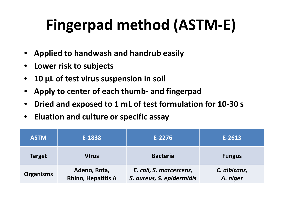## **Fingerpad method (ASTM ‐E)**

- •**Applied to handwash and handrub easily**
- $\bullet$ **Lower risk to subjects**
- $\bullet$ **10 μ L of test virus suspension in soil**
- • **Apply to center of each thumb ‐ and fingerpad**
- •**Dried and exposed to 1 mL of test formulation for 10 ‐30 s**
- $\bullet$ **Eluation and culture or specific assay**

| <b>ASTM</b>      | E-1838                                    | $E-2276$                                             | E-2613                   |  |  |  |
|------------------|-------------------------------------------|------------------------------------------------------|--------------------------|--|--|--|
| <b>Target</b>    | <b>VIrus</b>                              | <b>Bacteria</b>                                      | <b>Fungus</b>            |  |  |  |
| <b>Organisms</b> | Adeno, Rota,<br><b>Rhino, Hepatitis A</b> | E. coli, S. marcescens,<br>S. aureus, S. epidermidis | C. albicans,<br>A. niger |  |  |  |